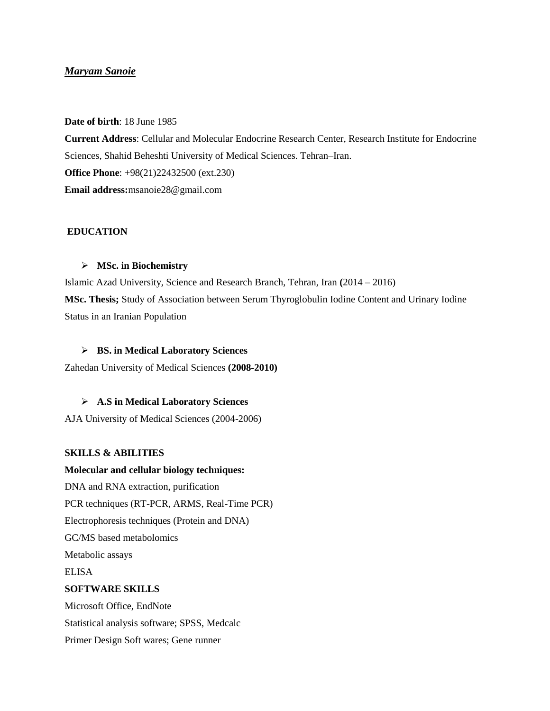# *Maryam Sanoie*

**Date of birth**: 18 June 1985

**Current Address**: Cellular and Molecular Endocrine Research Center, Research Institute for Endocrine Sciences, Shahid Beheshti University of Medical Sciences. Tehran–Iran. **Office Phone**: +98(21)22432500 (ext.230) **Email address:**msanoie28@gmail.com

# **EDUCATION**

## **MSc. in Biochemistry**

Islamic Azad University, Science and Research Branch, Tehran, Iran **(**2014 – 2016) **MSc. Thesis;** Study of Association between Serum Thyroglobulin Iodine Content and Urinary Iodine Status in an Iranian Population

## **BS. in Medical Laboratory Sciences**

Zahedan University of Medical Sciences **(2008-2010)**

# **A.S in Medical Laboratory Sciences**

AJA University of Medical Sciences (2004-2006)

## **SKILLS & ABILITIES**

# **Molecular and cellular biology techniques:**  DNA and RNA extraction, purification PCR techniques (RT-PCR, ARMS, Real-Time PCR) Electrophoresis techniques (Protein and DNA) GC/MS based metabolomics Metabolic assays ELISA **SOFTWARE SKILLS** Microsoft Office, EndNote Statistical analysis software; SPSS, Medcalc

Primer Design Soft wares; Gene runner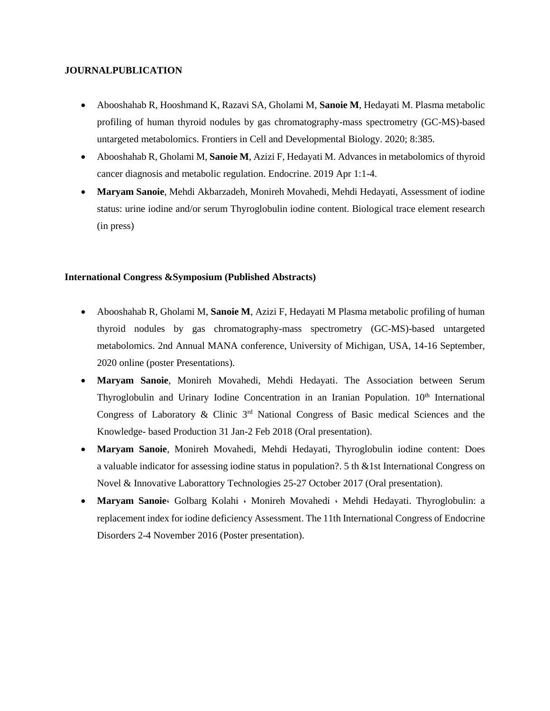## **JOURNALPUBLICATION**

- Abooshahab R, Hooshmand K, Razavi SA, Gholami M, **Sanoie M**, Hedayati M. Plasma metabolic profiling of human thyroid nodules by gas chromatography-mass spectrometry (GC-MS)-based untargeted metabolomics. Frontiers in Cell and Developmental Biology. 2020; 8:385.
- Abooshahab R, Gholami M, **Sanoie M**, Azizi F, Hedayati M. Advances in metabolomics of thyroid cancer diagnosis and metabolic regulation. Endocrine. 2019 Apr 1:1-4.
- **Maryam Sanoie**, Mehdi Akbarzadeh, Monireh Movahedi, Mehdi Hedayati, Assessment of iodine status: urine iodine and/or serum Thyroglobulin iodine content. Biological trace element research (in press)

## **International Congress &Symposium (Published Abstracts)**

- Abooshahab R, Gholami M, **Sanoie M**, Azizi F, Hedayati M Plasma metabolic profiling of human thyroid nodules by gas chromatography-mass spectrometry (GC-MS)-based untargeted metabolomics. 2nd Annual MANA conference, University of Michigan, USA, 14-16 September, 2020 online (poster Presentations).
- **Maryam Sanoie**, Monireh Movahedi, Mehdi Hedayati. The Association between Serum Thyroglobulin and Urinary Iodine Concentration in an Iranian Population. 10<sup>th</sup> International Congress of Laboratory & Clinic 3<sup>rd</sup> National Congress of Basic medical Sciences and the Knowledge- based Production 31 Jan-2 Feb 2018 (Oral presentation).
- **Maryam Sanoie**, Monireh Movahedi, Mehdi Hedayati, Thyroglobulin iodine content: Does a valuable indicator for assessing iodine status in population?. 5 th &1st International Congress on Novel & Innovative Laborattory Technologies 25-27 October 2017 (Oral presentation).
- **Maryam Sanoie**، Golbarg Kolahi ، Monireh Movahedi ، Mehdi Hedayati. Thyroglobulin: a replacement index for iodine deficiency Assessment. The 11th International Congress of Endocrine Disorders 2-4 November 2016 (Poster presentation).